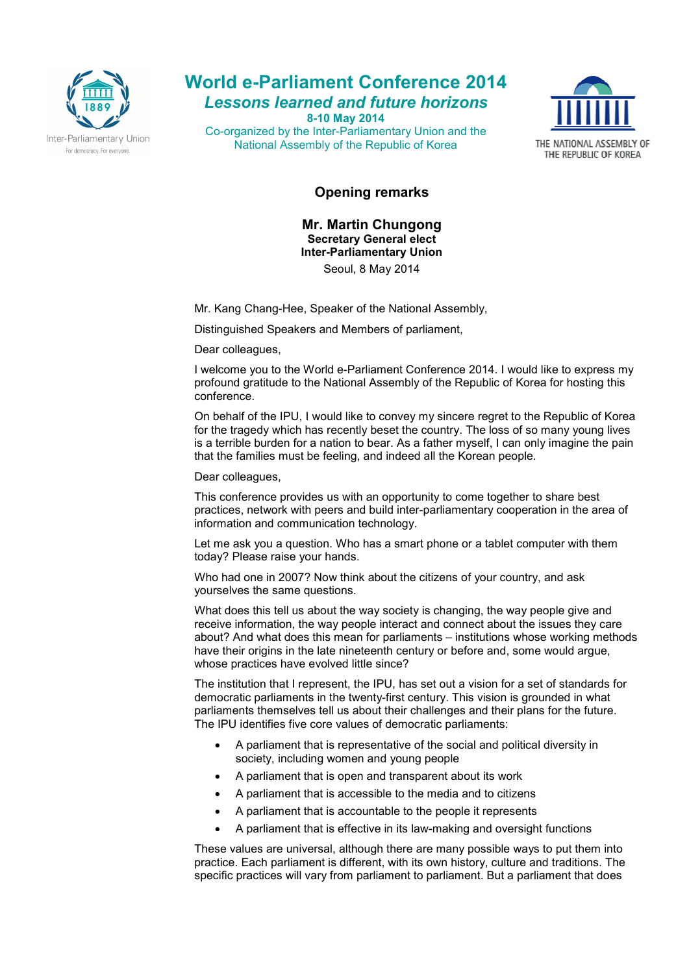

**World e-Parliament Conference 2014**  *Lessons learned and future horizons*  **8-10 May 2014** 

Co-organized by the Inter-Parliamentary Union and the National Assembly of the Republic of Korea



## **Opening remarks**

**Mr. Martin Chungong Secretary General elect Inter-Parliamentary Union**

Seoul, 8 May 2014

Mr. Kang Chang-Hee, Speaker of the National Assembly,

Distinguished Speakers and Members of parliament,

Dear colleagues.

I welcome you to the World e-Parliament Conference 2014. I would like to express my profound gratitude to the National Assembly of the Republic of Korea for hosting this conference.

On behalf of the IPU, I would like to convey my sincere regret to the Republic of Korea for the tragedy which has recently beset the country. The loss of so many young lives is a terrible burden for a nation to bear. As a father myself, I can only imagine the pain that the families must be feeling, and indeed all the Korean people.

Dear colleagues.

This conference provides us with an opportunity to come together to share best practices, network with peers and build inter-parliamentary cooperation in the area of information and communication technology.

Let me ask you a question. Who has a smart phone or a tablet computer with them today? Please raise your hands.

Who had one in 2007? Now think about the citizens of your country, and ask yourselves the same questions.

What does this tell us about the way society is changing, the way people give and receive information, the way people interact and connect about the issues they care about? And what does this mean for parliaments – institutions whose working methods have their origins in the late nineteenth century or before and, some would argue, whose practices have evolved little since?

The institution that I represent, the IPU, has set out a vision for a set of standards for democratic parliaments in the twenty-first century. This vision is grounded in what parliaments themselves tell us about their challenges and their plans for the future. The IPU identifies five core values of democratic parliaments:

- A parliament that is representative of the social and political diversity in society, including women and young people
- A parliament that is open and transparent about its work
- A parliament that is accessible to the media and to citizens
- A parliament that is accountable to the people it represents
- A parliament that is effective in its law-making and oversight functions

These values are universal, although there are many possible ways to put them into practice. Each parliament is different, with its own history, culture and traditions. The specific practices will vary from parliament to parliament. But a parliament that does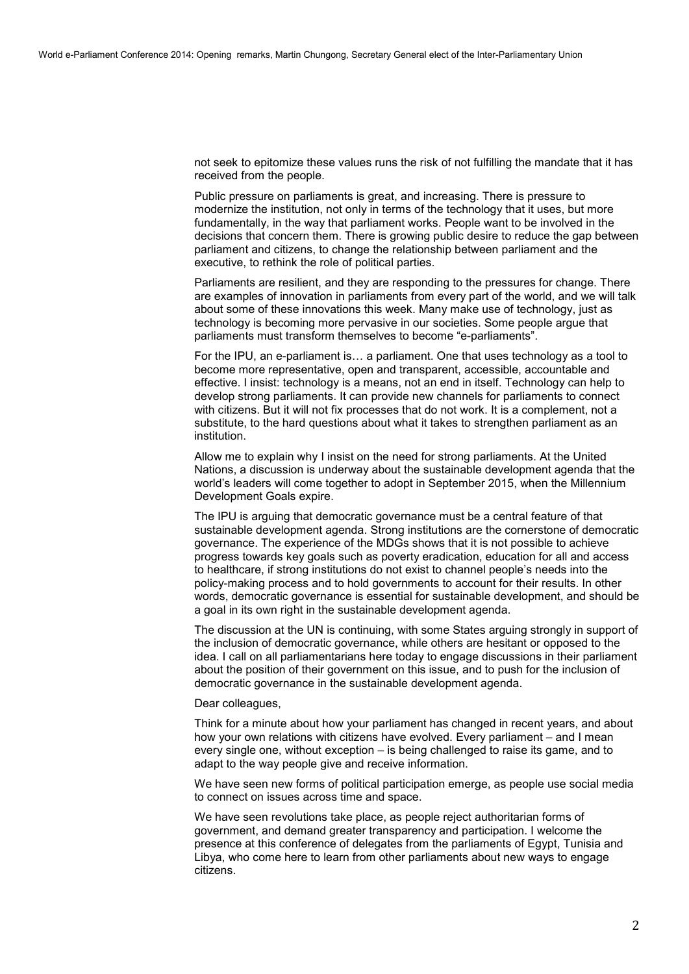not seek to epitomize these values runs the risk of not fulfilling the mandate that it has received from the people.

Public pressure on parliaments is great, and increasing. There is pressure to modernize the institution, not only in terms of the technology that it uses, but more fundamentally, in the way that parliament works. People want to be involved in the decisions that concern them. There is growing public desire to reduce the gap between parliament and citizens, to change the relationship between parliament and the executive, to rethink the role of political parties.

Parliaments are resilient, and they are responding to the pressures for change. There are examples of innovation in parliaments from every part of the world, and we will talk about some of these innovations this week. Many make use of technology, just as technology is becoming more pervasive in our societies. Some people argue that parliaments must transform themselves to become "e-parliaments".

For the IPU, an e-parliament is... a parliament. One that uses technology as a tool to become more representative, open and transparent, accessible, accountable and effective. I insist: technology is a means, not an end in itself. Technology can help to develop strong parliaments. It can provide new channels for parliaments to connect with citizens. But it will not fix processes that do not work. It is a complement, not a substitute, to the hard questions about what it takes to strengthen parliament as an institution.

Allow me to explain why I insist on the need for strong parliaments. At the United Nations, a discussion is underway about the sustainable development agenda that the world's leaders will come together to adopt in September 2015, when the Millennium Development Goals expire.

The IPU is arguing that democratic governance must be a central feature of that sustainable development agenda. Strong institutions are the cornerstone of democratic governance. The experience of the MDGs shows that it is not possible to achieve progress towards key goals such as poverty eradication, education for all and access to healthcare, if strong institutions do not exist to channel people's needs into the policy-making process and to hold governments to account for their results. In other words, democratic governance is essential for sustainable development, and should be a goal in its own right in the sustainable development agenda.

The discussion at the UN is continuing, with some States arguing strongly in support of the inclusion of democratic governance, while others are hesitant or opposed to the idea. I call on all parliamentarians here today to engage discussions in their parliament about the position of their government on this issue, and to push for the inclusion of democratic governance in the sustainable development agenda.

## Dear colleagues,

Think for a minute about how your parliament has changed in recent years, and about how your own relations with citizens have evolved. Every parliament – and I mean every single one, without exception – is being challenged to raise its game, and to adapt to the way people give and receive information.

We have seen new forms of political participation emerge, as people use social media to connect on issues across time and space.

We have seen revolutions take place, as people reject authoritarian forms of government, and demand greater transparency and participation. I welcome the presence at this conference of delegates from the parliaments of Egypt, Tunisia and Libya, who come here to learn from other parliaments about new ways to engage citizens.